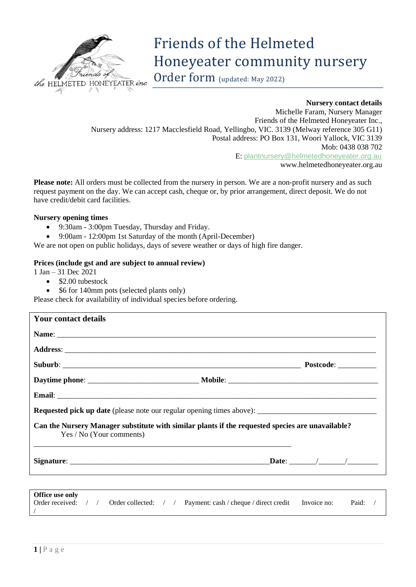

# Friends of the Helmeted Honeyeater community nursery

Order form (updated: May 2022)

## **Nursery contact details**

Michelle Faram, Nursery Manager Friends of the Helmeted Honeyeater Inc., Nursery address: 1217 Macclesfield Road, Yellingbo, VIC. 3139 (Melway reference 305 G11) Postal address: PO Box 131, Woori Yallock, VIC 3139 Mob: 0438 038 702 E: [plantnursery@helmetedhoneyeater.org.au](mailto:plantnursery@helmetedhoneyeater.org.au) [www.helmetedhoneyeater.org.au](http://www.helmetedhoneyeater.org.au/)

**Please note:** All orders must be collected from the nursery in person. We are a non-profit nursery and as such request payment on the day. We can accept cash, cheque or, by prior arrangement, direct deposit. We do not have credit/debit card facilities.

#### **Nursery opening times**

- 9:30am 3:00pm Tuesday, Thursday and Friday.
- 9:00am 12:00pm 1st Saturday of the month (April-December)

We are not open on public holidays, days of severe weather or days of high fire danger.

## **Prices (include gst and are subject to annual review)**

1 Jan – 31 Dec 2021

- \$2.00 tubestock
	- \$6 for 140mm pots (selected plants only)

Please check for availability of individual species before ordering.

| <b>Your contact details</b>                                                                                                  |  |
|------------------------------------------------------------------------------------------------------------------------------|--|
|                                                                                                                              |  |
|                                                                                                                              |  |
|                                                                                                                              |  |
|                                                                                                                              |  |
|                                                                                                                              |  |
|                                                                                                                              |  |
| Can the Nursery Manager substitute with similar plants if the requested species are unavailable?<br>Yes / No (Your comments) |  |
|                                                                                                                              |  |

| <b>Office use only</b>        |  |                                                                         |       |  |
|-------------------------------|--|-------------------------------------------------------------------------|-------|--|
| Order received: $\frac{1}{2}$ |  | Order collected: / / Payment: cash / cheque / direct credit Invoice no: | Paid: |  |
|                               |  |                                                                         |       |  |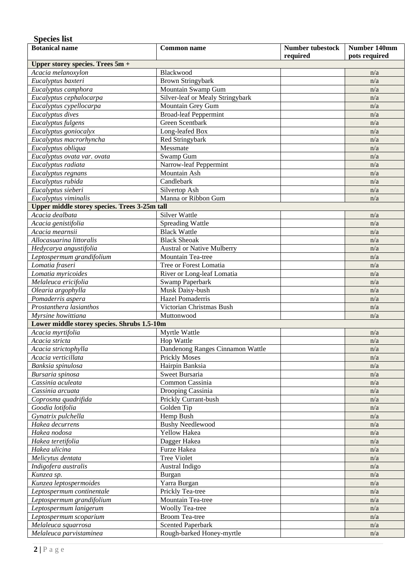# **Species list**

| <b>Botanical name</b>                                  | <b>Number tubestock</b><br><b>Common name</b>  |          | Number 140mm  |
|--------------------------------------------------------|------------------------------------------------|----------|---------------|
|                                                        |                                                | required | pots required |
| Upper storey species. Trees 5m +<br>Acacia melanoxylon | Blackwood                                      |          |               |
| Eucalyptus baxteri                                     |                                                |          | n/a           |
|                                                        | <b>Brown Stringybark</b><br>Mountain Swamp Gum |          | n/a<br>n/a    |
| Eucalyptus camphora                                    | Silver-leaf or Mealy Stringybark               |          |               |
| Eucalyptus cephalocarpa                                |                                                |          | n/a           |
| Eucalyptus cypellocarpa                                | Mountain Grey Gum                              |          | n/a           |
| Eucalyptus dives                                       | <b>Broad-leaf Peppermint</b>                   |          | n/a           |
| Eucalyptus fulgens                                     | Green Scentbark                                |          | n/a           |
| Eucalyptus goniocalyx                                  | Long-leafed Box                                |          | n/a           |
| Eucalyptus macrorhyncha                                | Red Stringybark                                |          | n/a           |
| Eucalyptus obliqua                                     | Messmate                                       |          | n/a           |
| Eucalyptus ovata var. ovata                            | Swamp Gum                                      |          | n/a           |
| Eucalyptus radiata                                     | Narrow-leaf Peppermint                         |          | n/a           |
| Eucalyptus regnans                                     | Mountain Ash                                   |          | n/a           |
| Eucalyptus rubida                                      | Candlebark                                     |          | n/a           |
| Eucalyptus sieberi                                     | Silvertop Ash                                  |          | n/a           |
| Eucalyptus viminalis                                   | Manna or Ribbon Gum                            |          | n/a           |
| <b>Upper middle storey species. Trees 3-25m tall</b>   |                                                |          |               |
| Acacia dealbata                                        | <b>Silver Wattle</b>                           |          | n/a           |
| Acacia genistifolia                                    | <b>Spreading Wattle</b>                        |          | n/a           |
| Acacia mearnsii                                        | <b>Black Wattle</b>                            |          | n/a           |
| Allocasuarina littoralis                               | <b>Black Sheoak</b>                            |          | n/a           |
| Hedycarya angustifolia                                 | <b>Austral or Native Mulberry</b>              |          | n/a           |
| Leptospermum grandifolium                              | Mountain Tea-tree                              |          | n/a           |
| Lomatia fraseri                                        | Tree or Forest Lomatia                         |          | n/a           |
| Lomatia myricoides                                     | River or Long-leaf Lomatia                     |          | n/a           |
| Melaleuca ericifolia                                   | Swamp Paperbark                                |          | n/a           |
| Olearia argophylla                                     | Musk Daisy-bush                                |          | n/a           |
| Pomaderris aspera                                      | Hazel Pomaderris                               |          | n/a           |
| Prostanthera lasianthos                                | Victorian Christmas Bush                       |          | n/a           |
| Myrsine howittiana                                     | Muttonwood                                     |          | n/a           |
| Lower middle storey species. Shrubs 1.5-10m            |                                                |          |               |
| Acacia myrtifolia                                      | Myrtle Wattle                                  |          | n/a           |
| Acacia stricta                                         | Hop Wattle                                     |          | n/a           |
| Acacia strictophylla                                   | Dandenong Ranges Cinnamon Wattle               |          | n/a           |
| Acacia verticillata                                    | <b>Prickly Moses</b>                           |          | n/a           |
| Banksia spinulosa                                      | Hairpin Banksia                                |          | n/a           |
| Bursaria spinosa                                       | Sweet Bursaria                                 |          | n/a           |
| Cassinia aculeata                                      | Common Cassinia                                |          | n/a           |
| Cassinia arcuata                                       | Drooping Cassinia                              |          | n/a           |
| Coprosma quadrifida                                    | Prickly Currant-bush                           |          | n/a           |
| Goodia lotifolia                                       | Golden Tip                                     |          | n/a           |
| Gynatrix pulchella                                     | Hemp Bush                                      |          | n/a           |
| Hakea decurrens                                        | <b>Bushy Needlewood</b>                        |          | n/a           |
| Hakea nodosa                                           | <b>Yellow Hakea</b>                            |          | n/a           |
| Hakea teretifolia                                      | Dagger Hakea                                   |          | n/a           |
| Hakea ulicina                                          | Furze Hakea                                    |          | n/a           |
| Melicytus dentata                                      | <b>Tree Violet</b>                             |          | n/a           |
| Indigofera australis                                   | Austral Indigo                                 |          | n/a           |
| Kunzea sp.                                             | Burgan                                         |          | n/a           |
| Kunzea leptospermoides                                 | Yarra Burgan                                   |          | n/a           |
| Leptospermum continentale                              | Prickly Tea-tree                               |          | n/a           |
| Leptospermum grandifolium                              | Mountain Tea-tree                              |          | n/a           |
| Leptospermum lanigerum                                 | <b>Woolly Tea-tree</b>                         |          | n/a           |
| Leptospermum scoparium                                 | <b>Broom Tea-tree</b>                          |          | n/a           |
| Melaleuca squarrosa                                    | <b>Scented Paperbark</b>                       |          | n/a           |
| Melaleuca parvistaminea                                | Rough-barked Honey-myrtle                      |          | n/a           |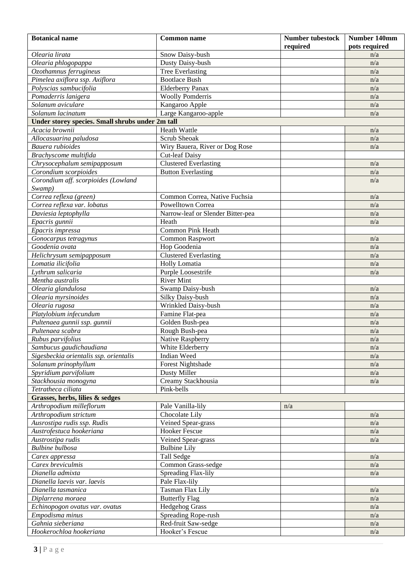| <b>Botanical name</b>                            | <b>Common name</b>                | <b>Number tubestock</b><br>required | Number 140mm<br>pots required |
|--------------------------------------------------|-----------------------------------|-------------------------------------|-------------------------------|
| Olearia lirata                                   | Snow Daisy-bush                   |                                     | n/a                           |
| Olearia phlogopappa                              | Dusty Daisy-bush                  |                                     | n/a                           |
| Ozothamnus ferrugineus                           | <b>Tree Everlasting</b>           |                                     | n/a                           |
| Pimelea axiflora ssp. Axiflora                   | <b>Bootlace Bush</b>              |                                     | n/a                           |
| Polyscias sambucifolia                           | <b>Elderberry Panax</b>           |                                     | n/a                           |
| Pomaderris lanigera                              | <b>Woolly Pomderris</b>           |                                     | n/a                           |
| Solanum aviculare                                | Kangaroo Apple                    |                                     | n/a                           |
| Solanum lacinatum                                | Large Kangaroo-apple              |                                     | n/a                           |
| Under storey species. Small shrubs under 2m tall |                                   |                                     |                               |
| Acacia brownii                                   | Heath Wattle                      |                                     | n/a                           |
| Allocasuarina paludosa                           | Scrub Sheoak                      |                                     | n/a                           |
| Bauera rubioides                                 | Wiry Bauera, River or Dog Rose    |                                     | n/a                           |
| Brachyscome multifida                            | <b>Cut-leaf Daisy</b>             |                                     |                               |
| Chrysocephalum semipapposum                      | <b>Clustered Everlasting</b>      |                                     | n/a                           |
| Corondium scorpioides                            | <b>Button Everlasting</b>         |                                     | n/a                           |
| Corondium aff. scorpioides (Lowland              |                                   |                                     | n/a                           |
| Swamp)                                           |                                   |                                     |                               |
| Correa reflexa (green)                           | Common Correa, Native Fuchsia     |                                     | n/a                           |
| Correa reflexa var. lobatus                      | <b>Powelltown Correa</b>          |                                     | n/a                           |
| Daviesia leptophylla                             | Narrow-leaf or Slender Bitter-pea |                                     | n/a                           |
| Epacris gunnii                                   | Heath                             |                                     | n/a                           |
| Epacris impressa                                 | <b>Common Pink Heath</b>          |                                     |                               |
| Gonocarpus tetragynus                            | <b>Common Raspwort</b>            |                                     | n/a                           |
| Goodenia ovata                                   | Hop Goodenia                      |                                     | n/a                           |
| Helichrysum semipapposum                         | <b>Clustered Everlasting</b>      |                                     | n/a                           |
| Lomatia ilicifolia                               | <b>Holly Lomatia</b>              |                                     | n/a                           |
| Lythrum salicaria                                | Purple Loosestrife                |                                     | n/a                           |
| Mentha australis                                 | <b>River Mint</b>                 |                                     |                               |
| Olearia glandulosa                               | Swamp Daisy-bush                  |                                     | n/a                           |
| Olearia myrsinoides                              | Silky Daisy-bush                  |                                     | n/a                           |
| Olearia rugosa                                   | Wrinkled Daisy-bush               |                                     | n/a                           |
| Platylobium infecundum                           | Famine Flat-pea                   |                                     | n/a                           |
| Pultenaea gunnii ssp. gunnii                     | Golden Bush-pea                   |                                     | n/a                           |
| Pultenaea scabra                                 | Rough Bush-pea                    |                                     | n/a                           |
| Rubus parvifolius                                | Native Raspberry                  |                                     | n/a                           |
| Sambucus gaudichaudiana                          | White Elderberry                  |                                     | n/a                           |
| Sigesbeckia orientalis ssp. orientalis           | Indian Weed                       |                                     | n/a                           |
| Solanum prinophyllum                             | <b>Forest Nightshade</b>          |                                     | n/a                           |
| Spyridium parvifolium                            | <b>Dusty Miller</b>               |                                     | n/a                           |
| Stackhousia monogyna                             | Creamy Stackhousia                |                                     | n/a                           |
| Tetratheca ciliata                               | Pink-bells                        |                                     |                               |
| Grasses, herbs, lilies & sedges                  |                                   |                                     |                               |
| Arthropodium milleflorum                         | Pale Vanilla-lily                 | n/a                                 |                               |
| Arthropodium strictum                            | Chocolate Lily                    |                                     | n/a                           |
| Ausrostipa rudis ssp. Rudis                      | Veined Spear-grass                |                                     | n/a                           |
| Austrofestuca hookeriana                         | <b>Hooker Fescue</b>              |                                     | n/a                           |
| Austrostipa rudis                                | Veined Spear-grass                |                                     | n/a                           |
| <b>Bulbine</b> bulbosa                           | <b>Bulbine Lily</b>               |                                     |                               |
| Carex appressa                                   | Tall Sedge                        |                                     | n/a                           |
| Carex breviculmis                                | Common Grass-sedge                |                                     | n/a                           |
| Dianella admixta                                 | Spreading Flax-lily               |                                     | n/a                           |
| Dianella laevis var. laevis                      | Pale Flax-lily                    |                                     |                               |
| Dianella tasmanica                               | Tasman Flax Lily                  |                                     | n/a                           |
| Diplarrena moraea                                | <b>Butterfly Flag</b>             |                                     | n/a                           |
| Echinopogon ovatus var. ovatus                   | <b>Hedgehog Grass</b>             |                                     | n/a                           |
| Empodisma minus                                  | Spreading Rope-rush               |                                     | n/a                           |
| Gahnia sieberiana                                | Red-fruit Saw-sedge               |                                     | n/a                           |
| Hookerochloa hookeriana                          | Hooker's Fescue                   |                                     | n/a                           |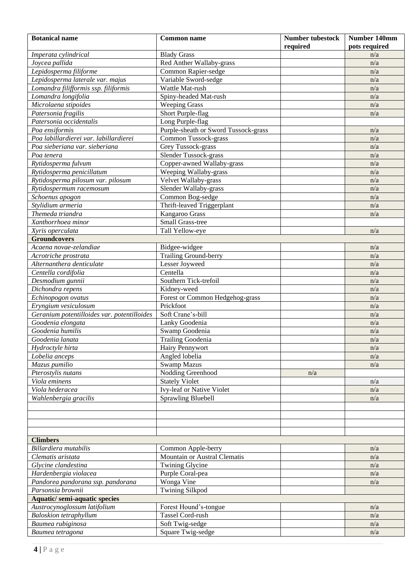| <b>Botanical name</b>                       | <b>Common name</b>                   | <b>Number tubestock</b><br>required | Number 140mm<br>pots required |
|---------------------------------------------|--------------------------------------|-------------------------------------|-------------------------------|
| Imperata cylindrical                        | <b>Blady Grass</b>                   |                                     | n/a                           |
| Joycea pallida                              | Red Anther Wallaby-grass             |                                     | n/a                           |
| Lepidosperma filiforme                      | Common Rapier-sedge                  |                                     | n/a                           |
| Lepidosperma laterale var. majus            | Variable Sword-sedge                 |                                     | n/a                           |
| Lomandra filifformis ssp. filiformis        | Wattle Mat-rush                      |                                     | n/a                           |
| Lomandra longifolia                         | Spiny-headed Mat-rush                |                                     | n/a                           |
| Microlaena stipoides                        | <b>Weeping Grass</b>                 |                                     | n/a                           |
| Patersonia fragilis                         | Short Purple-flag                    |                                     | n/a                           |
| Patersonia occidentalis                     | Long Purple-flag                     |                                     |                               |
| Poa ensiformis                              | Purple-sheath or Sword Tussock-grass |                                     | n/a                           |
| Poa labillardierei var. labillardierei      | Common Tussock-grass                 |                                     | n/a                           |
| Poa sieberiana var. sieberiana              | Grey Tussock-grass                   |                                     | n/a                           |
| Poa tenera                                  | Slender Tussock-grass                |                                     | n/a                           |
| Rytidosperma fulvum                         | Copper-awned Wallaby-grass           |                                     | n/a                           |
| Rytidosperma penicillatum                   | Weeping Wallaby-grass                |                                     | n/a                           |
| Rytidosperma pilosum var. pilosum           | Velvet Wallaby-grass                 |                                     | n/a                           |
| Rytidospermum racemosum                     | Slender Wallaby-grass                |                                     | n/a                           |
| Schoenus apogon                             | Common Bog-sedge                     |                                     | n/a                           |
| Stylidium armeria                           | Thrift-leaved Triggerplant           |                                     | n/a                           |
| Themeda triandra                            | Kangaroo Grass                       |                                     | n/a                           |
| Xanthorrhoea minor                          | Small Grass-tree                     |                                     |                               |
| Xyris operculata                            | Tall Yellow-eye                      |                                     | n/a                           |
| <b>Groundcovers</b>                         |                                      |                                     |                               |
| Acaena novae-zelandiae                      | Bidgee-widgee                        |                                     | n/a                           |
| Acrotriche prostrata                        | <b>Trailing Ground-berry</b>         |                                     | n/a                           |
| Alternanthera denticulate                   | Lesser Joyweed                       |                                     | n/a                           |
| Centella cordifolia                         | Centella                             |                                     | n/a                           |
| Desmodium gunnii                            | Southern Tick-trefoil                |                                     | n/a                           |
| Dichondra repens                            | Kidney-weed                          |                                     | n/a                           |
| Echinopogon ovatus                          | Forest or Common Hedgehog-grass      |                                     | n/a                           |
| Eryngium vesiculosum                        | Prickfoot                            |                                     | n/a                           |
| Geranium potentilloides var. potentilloides | Soft Crane's-bill                    |                                     | n/a                           |
| Goodenia elongata                           | Lanky Goodenia                       |                                     | n/a                           |
| Goodenia humilis                            | Swamp Goodenia                       |                                     | n/a                           |
| Goodenia lanata                             | <b>Trailing Goodenia</b>             |                                     | n/a                           |
| Hydroctyle hirta                            | Hairy Pennywort                      |                                     | n/a                           |
| Lobelia anceps                              | Angled lobelia                       |                                     | n/a                           |
| Mazus pumilio                               | <b>Swamp Mazus</b>                   |                                     | n/a                           |
| Pterostylis nutans                          | Nodding Greenhood                    | n/a                                 |                               |
| Viola eminens                               | <b>Stately Violet</b>                |                                     | n/a                           |
| Viola hederacea                             | Ivy-leaf or Native Violet            |                                     | n/a                           |
| Wahlenbergia gracilis                       | <b>Sprawling Bluebell</b>            |                                     | n/a                           |
|                                             |                                      |                                     |                               |
|                                             |                                      |                                     |                               |
|                                             |                                      |                                     |                               |
|                                             |                                      |                                     |                               |
| <b>Climbers</b>                             |                                      |                                     |                               |
| Billardiera mutabilis                       | Common Apple-berry                   |                                     | n/a                           |
| Clematis aristata                           | Mountain or Austral Clematis         |                                     | n/a                           |
| Glycine clandestina                         | Twining Glycine                      |                                     | n/a                           |
| Hardenbergia violacea                       | Purple Coral-pea                     |                                     | n/a                           |
| Pandorea pandorana ssp. pandorana           | Wonga Vine                           |                                     | n/a                           |
| Parsonsia brownii                           | <b>Twining Silkpod</b>               |                                     |                               |
| <b>Aquatic/semi-aquatic species</b>         |                                      |                                     |                               |
| Austrocynoglossum latifolium                | Forest Hound's-tongue                |                                     | n/a                           |
| <b>Baloskion</b> tetraphyllum               | Tassel Cord-rush                     |                                     | n/a                           |
| Baumea rubiginosa                           | Soft Twig-sedge                      |                                     | n/a                           |
| Baumea tetragona                            | Square Twig-sedge                    |                                     | n/a                           |
|                                             |                                      |                                     |                               |